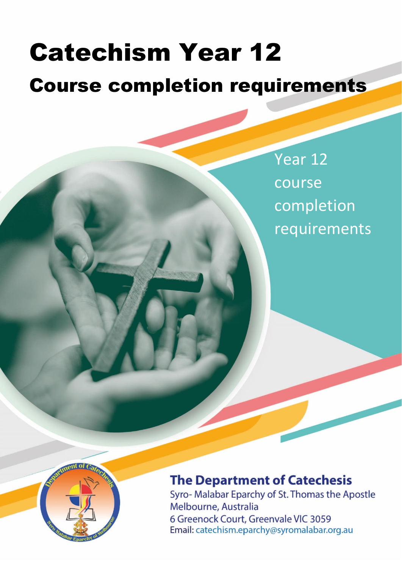# . Catechism Year 12

# Course completion requirements

Year 12 course completion requirements



## **The Department of Catechesis**

Syro- Malabar Eparchy of St. Thomas the Apostle Melbourne, Australia 6 Greenock Court, Greenvale VIC 3059 Email: catechism.eparchy@syromalabar.org.au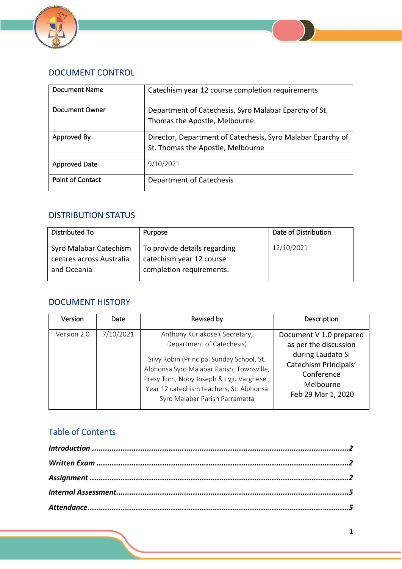



| Document Name           | Catechism year 12 course completion requirements                                                 |
|-------------------------|--------------------------------------------------------------------------------------------------|
| Document Owner          | Department of Catechesis, Syro Malabar Eparchy of St.<br>Thomas the Apostle, Melbourne.          |
| Approved By             | Director, Department of Catechesis, Syro Malabar Eparchy of<br>St. Thomas the Apostle, Melbourne |
| <b>Approved Date</b>    | 9/10/2021                                                                                        |
| <b>Point of Contact</b> | Department of Catechesis                                                                         |

## DISTRIBUTION STATUS

| Distributed To           | Purpose                      | Date of Distribution |
|--------------------------|------------------------------|----------------------|
| Syro Malabar Catechism   | To provide details regarding | 12/10/2021           |
| centres across Australia | catechism year 12 course     |                      |
| and Oceania              | completion requirements.     |                      |

## DOCUMENT HISTORY

| Version     | Date      | Revised by                                                                                                                                                                                                                                                                    | Description                                                                                                                                     |
|-------------|-----------|-------------------------------------------------------------------------------------------------------------------------------------------------------------------------------------------------------------------------------------------------------------------------------|-------------------------------------------------------------------------------------------------------------------------------------------------|
| Version 2.0 | 7/10/2021 | Anthony Kuriakose (Secretary,<br>Department of Catechesis)<br>Silvy Robin (Principal Sunday School, St.<br>Alphonsa Syro Malabar Parish, Townsville,<br>Presy Tom, Noby Joseph & Lyju Varghese,<br>Year 12 catechism teachers, St. Alphonsa<br>Syro Malabar Parish Parramatta | Document V 1.0 prepared<br>as per the discussion<br>during Laudato Si<br>Catechism Principals'<br>Conference<br>Melbourne<br>Feb 29 Mar 1, 2020 |

## Table of Contents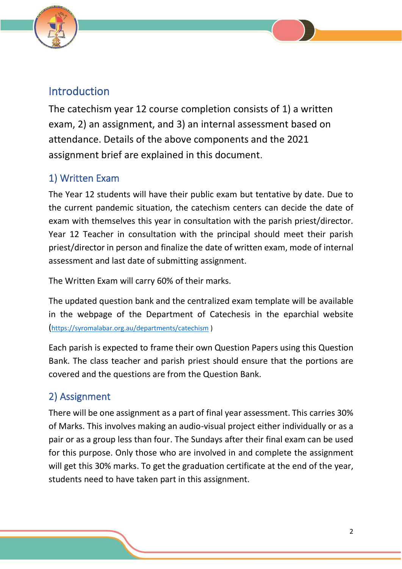

## <span id="page-2-0"></span>Introduction

The catechism year 12 course completion consists of 1) a written exam, 2) an assignment, and 3) an internal assessment based on attendance. Details of the above components and the 2021 assignment brief are explained in this document.

## <span id="page-2-1"></span>1) Written Exam

The Year 12 students will have their public exam but tentative by date. Due to the current pandemic situation, the catechism centers can decide the date of exam with themselves this year in consultation with the parish priest/director. Year 12 Teacher in consultation with the principal should meet their parish priest/director in person and finalize the date of written exam, mode of internal assessment and last date of submitting assignment.

The Written Exam will carry 60% of their marks.

The updated question bank and the centralized exam template will be available in the webpage of the Department of Catechesis in the eparchial website (<https://syromalabar.org.au/departments/catechism> )

Each parish is expected to frame their own Question Papers using this Question Bank. The class teacher and parish priest should ensure that the portions are covered and the questions are from the Question Bank.

## <span id="page-2-2"></span>2) Assignment

There will be one assignment as a part of final year assessment. This carries 30% of Marks. This involves making an audio-visual project either individually or as a pair or as a group less than four. The Sundays after their final exam can be used for this purpose. Only those who are involved in and complete the assignment will get this 30% marks. To get the graduation certificate at the end of the year, students need to have taken part in this assignment.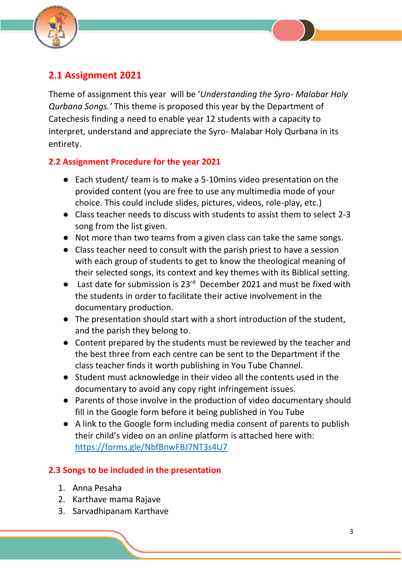



Theme of assignment this year will be '*Understanding the Syro- Malabar Holy Qurbana Songs.'* This theme is proposed this year by the Department of Catechesis finding a need to enable year 12 students with a capacity to interpret, understand and appreciate the Syro- Malabar Holy Qurbana in its entirety.

### **2.2 Assignment Procedure for the year 2021**

- Each student/ team is to make a 5-10mins video presentation on the provided content (you are free to use any multimedia mode of your choice. This could include slides, pictures, videos, role-play, etc.)
- Class teacher needs to discuss with students to assist them to select 2-3 song from the list given.
- Not more than two teams from a given class can take the same songs.
- Class teacher need to consult with the parish priest to have a session with each group of students to get to know the theological meaning of their selected songs, its context and key themes with its Biblical setting.
- Last date for submission is 23<sup>rd</sup> December 2021 and must be fixed with the students in order to facilitate their active involvement in the documentary production.
- The presentation should start with a short introduction of the student, and the parish they belong to.
- Content prepared by the students must be reviewed by the teacher and the best three from each centre can be sent to the Department if the class teacher finds it worth publishing in You Tube Channel.
- Student must acknowledge in their video all the contents used in the documentary to avoid any copy right infringement issues.
- Parents of those involve in the production of video documentary should fill in the Google form before it being published in You Tube
- A link to the Google form including media consent of parents to publish their child's video on an online platform is attached here with: https://forms.gle/NbfBnwFBJ7NT3s4U7

### **2.3 Songs to be included in the presentation**

- 1. Anna Pesaha
- 2. Karthave mama Rajave
- 3. Sarvadhipanam Karthave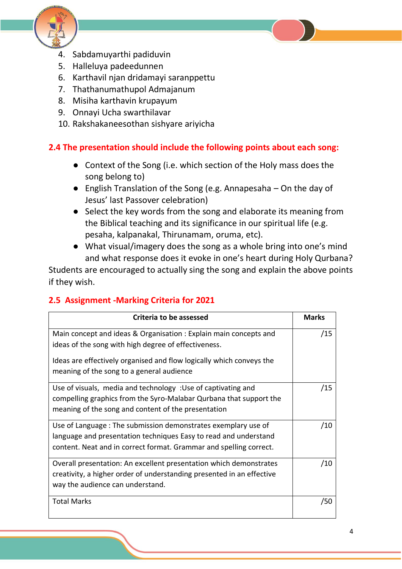

- 4. Sabdamuyarthi padiduvin
- 5. Halleluya padeedunnen
- 6. Karthavil njan dridamayi saranppettu
- 7. Thathanumathupol Admajanum
- 8. Misiha karthavin krupayum
- 9. Onnayi Ucha swarthilavar
- 10. Rakshakaneesothan sishyare ariyicha

### **2.4 The presentation should include the following points about each song:**

- Context of the Song (i.e. which section of the Holy mass does the song belong to)
- English Translation of the Song (e.g. Annapesaha On the day of Jesus' last Passover celebration)
- Select the key words from the song and elaborate its meaning from the Biblical teaching and its significance in our spiritual life (e.g. pesaha, kalpanakal, Thirunamam, oruma, etc).
- What visual/imagery does the song as a whole bring into one's mind and what response does it evoke in one's heart during Holy Qurbana?

Students are encouraged to actually sing the song and explain the above points if they wish.

### **2.5 Assignment -Marking Criteria for 2021**

| Criteria to be assessed                                                                                                                                                                                 |     |  |
|---------------------------------------------------------------------------------------------------------------------------------------------------------------------------------------------------------|-----|--|
| Main concept and ideas & Organisation: Explain main concepts and<br>ideas of the song with high degree of effectiveness.                                                                                | /15 |  |
| Ideas are effectively organised and flow logically which conveys the<br>meaning of the song to a general audience                                                                                       |     |  |
| Use of visuals, media and technology : Use of captivating and<br>compelling graphics from the Syro-Malabar Qurbana that support the<br>meaning of the song and content of the presentation              | /15 |  |
| Use of Language: The submission demonstrates exemplary use of<br>language and presentation techniques Easy to read and understand<br>content. Neat and in correct format. Grammar and spelling correct. | /10 |  |
| Overall presentation: An excellent presentation which demonstrates<br>creativity, a higher order of understanding presented in an effective<br>way the audience can understand.                         |     |  |
| <b>Total Marks</b>                                                                                                                                                                                      | /50 |  |